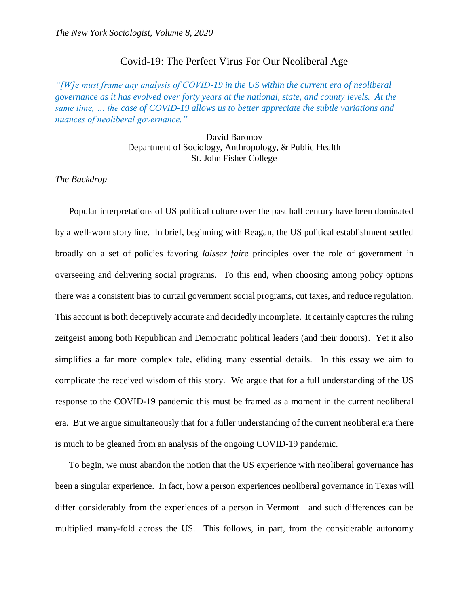## Covid-19: The Perfect Virus For Our Neoliberal Age

*"[W]e must frame any analysis of COVID-19 in the US within the current era of neoliberal governance as it has evolved over forty years at the national, state, and county levels. At the same time, … the case of COVID-19 allows us to better appreciate the subtle variations and nuances of neoliberal governance."*

> David Baronov Department of Sociology, Anthropology, & Public Health St. John Fisher College

*The Backdrop*

Popular interpretations of US political culture over the past half century have been dominated by a well-worn story line. In brief, beginning with Reagan, the US political establishment settled broadly on a set of policies favoring *laissez faire* principles over the role of government in overseeing and delivering social programs. To this end, when choosing among policy options there was a consistent bias to curtail government social programs, cut taxes, and reduce regulation. This account is both deceptively accurate and decidedly incomplete. It certainly captures the ruling zeitgeist among both Republican and Democratic political leaders (and their donors). Yet it also simplifies a far more complex tale, eliding many essential details. In this essay we aim to complicate the received wisdom of this story. We argue that for a full understanding of the US response to the COVID-19 pandemic this must be framed as a moment in the current neoliberal era. But we argue simultaneously that for a fuller understanding of the current neoliberal era there is much to be gleaned from an analysis of the ongoing COVID-19 pandemic.

To begin, we must abandon the notion that the US experience with neoliberal governance has been a singular experience. In fact, how a person experiences neoliberal governance in Texas will differ considerably from the experiences of a person in Vermont—and such differences can be multiplied many-fold across the US. This follows, in part, from the considerable autonomy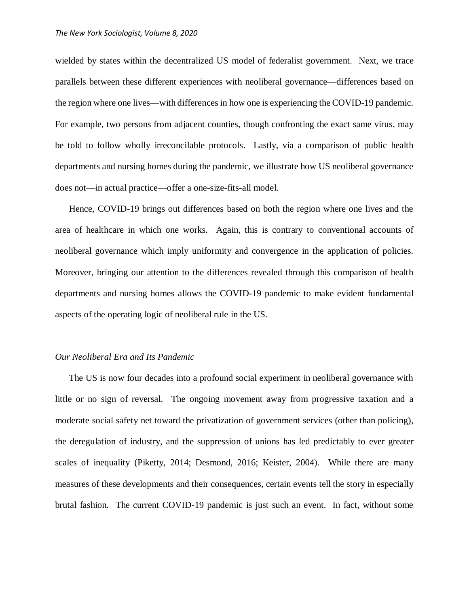wielded by states within the decentralized US model of federalist government. Next, we trace parallels between these different experiences with neoliberal governance—differences based on the region where one lives—with differences in how one is experiencing the COVID-19 pandemic. For example, two persons from adjacent counties, though confronting the exact same virus, may be told to follow wholly irreconcilable protocols. Lastly, via a comparison of public health departments and nursing homes during the pandemic, we illustrate how US neoliberal governance does not—in actual practice—offer a one-size-fits-all model.

Hence, COVID-19 brings out differences based on both the region where one lives and the area of healthcare in which one works. Again, this is contrary to conventional accounts of neoliberal governance which imply uniformity and convergence in the application of policies. Moreover, bringing our attention to the differences revealed through this comparison of health departments and nursing homes allows the COVID-19 pandemic to make evident fundamental aspects of the operating logic of neoliberal rule in the US.

## *Our Neoliberal Era and Its Pandemic*

The US is now four decades into a profound social experiment in neoliberal governance with little or no sign of reversal. The ongoing movement away from progressive taxation and a moderate social safety net toward the privatization of government services (other than policing), the deregulation of industry, and the suppression of unions has led predictably to ever greater scales of inequality (Piketty, 2014; Desmond, 2016; Keister, 2004). While there are many measures of these developments and their consequences, certain events tell the story in especially brutal fashion. The current COVID-19 pandemic is just such an event. In fact, without some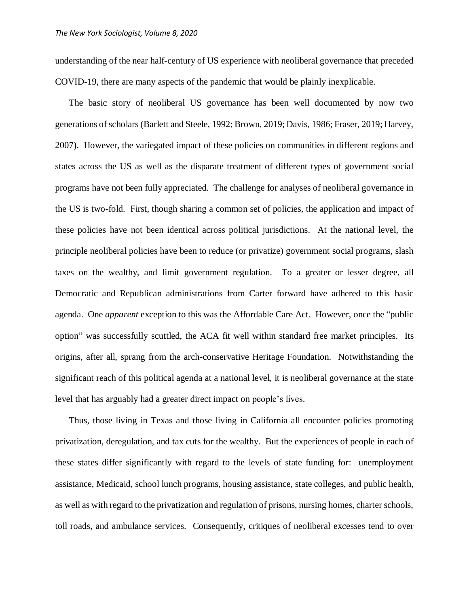understanding of the near half-century of US experience with neoliberal governance that preceded COVID-19, there are many aspects of the pandemic that would be plainly inexplicable.

The basic story of neoliberal US governance has been well documented by now two generations of scholars (Barlett and Steele, 1992; Brown, 2019; Davis, 1986; Fraser, 2019; Harvey, 2007). However, the variegated impact of these policies on communities in different regions and states across the US as well as the disparate treatment of different types of government social programs have not been fully appreciated. The challenge for analyses of neoliberal governance in the US is two-fold. First, though sharing a common set of policies, the application and impact of these policies have not been identical across political jurisdictions. At the national level, the principle neoliberal policies have been to reduce (or privatize) government social programs, slash taxes on the wealthy, and limit government regulation. To a greater or lesser degree, all Democratic and Republican administrations from Carter forward have adhered to this basic agenda. One *apparent* exception to this was the Affordable Care Act. However, once the "public option" was successfully scuttled, the ACA fit well within standard free market principles. Its origins, after all, sprang from the arch-conservative Heritage Foundation. Notwithstanding the significant reach of this political agenda at a national level, it is neoliberal governance at the state level that has arguably had a greater direct impact on people's lives.

Thus, those living in Texas and those living in California all encounter policies promoting privatization, deregulation, and tax cuts for the wealthy. But the experiences of people in each of these states differ significantly with regard to the levels of state funding for: unemployment assistance, Medicaid, school lunch programs, housing assistance, state colleges, and public health, as well as with regard to the privatization and regulation of prisons, nursing homes, charter schools, toll roads, and ambulance services. Consequently, critiques of neoliberal excesses tend to over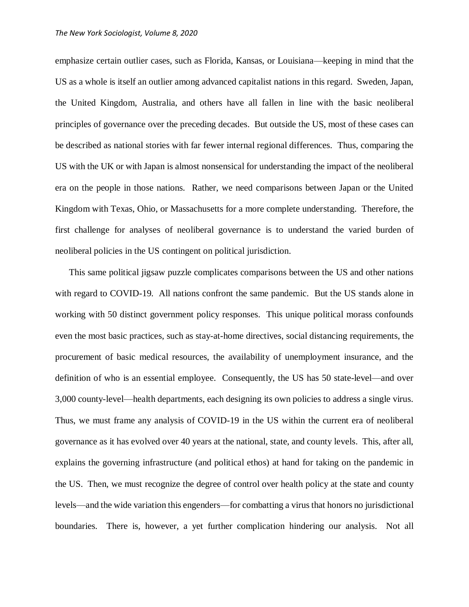emphasize certain outlier cases, such as Florida, Kansas, or Louisiana—keeping in mind that the US as a whole is itself an outlier among advanced capitalist nations in this regard. Sweden, Japan, the United Kingdom, Australia, and others have all fallen in line with the basic neoliberal principles of governance over the preceding decades. But outside the US, most of these cases can be described as national stories with far fewer internal regional differences. Thus, comparing the US with the UK or with Japan is almost nonsensical for understanding the impact of the neoliberal era on the people in those nations. Rather, we need comparisons between Japan or the United Kingdom with Texas, Ohio, or Massachusetts for a more complete understanding. Therefore, the first challenge for analyses of neoliberal governance is to understand the varied burden of neoliberal policies in the US contingent on political jurisdiction.

This same political jigsaw puzzle complicates comparisons between the US and other nations with regard to COVID-19. All nations confront the same pandemic. But the US stands alone in working with 50 distinct government policy responses. This unique political morass confounds even the most basic practices, such as stay-at-home directives, social distancing requirements, the procurement of basic medical resources, the availability of unemployment insurance, and the definition of who is an essential employee. Consequently, the US has 50 state-level—and over 3,000 county-level—health departments, each designing its own policies to address a single virus. Thus, we must frame any analysis of COVID-19 in the US within the current era of neoliberal governance as it has evolved over 40 years at the national, state, and county levels. This, after all, explains the governing infrastructure (and political ethos) at hand for taking on the pandemic in the US. Then, we must recognize the degree of control over health policy at the state and county levels—and the wide variation this engenders—for combatting a virus that honors no jurisdictional boundaries. There is, however, a yet further complication hindering our analysis. Not all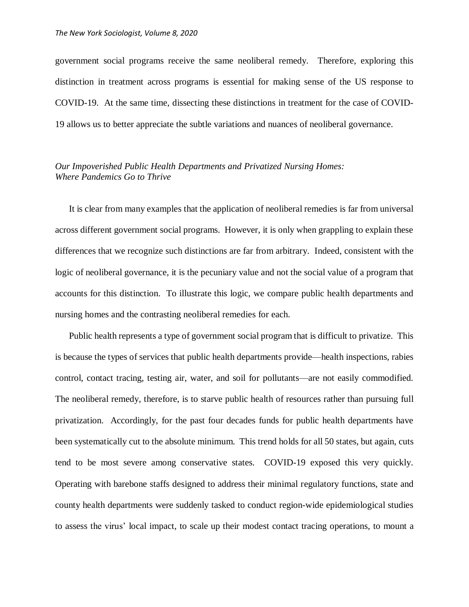government social programs receive the same neoliberal remedy. Therefore, exploring this distinction in treatment across programs is essential for making sense of the US response to COVID-19. At the same time, dissecting these distinctions in treatment for the case of COVID-19 allows us to better appreciate the subtle variations and nuances of neoliberal governance.

## *Our Impoverished Public Health Departments and Privatized Nursing Homes: Where Pandemics Go to Thrive*

It is clear from many examples that the application of neoliberal remedies is far from universal across different government social programs. However, it is only when grappling to explain these differences that we recognize such distinctions are far from arbitrary. Indeed, consistent with the logic of neoliberal governance, it is the pecuniary value and not the social value of a program that accounts for this distinction. To illustrate this logic, we compare public health departments and nursing homes and the contrasting neoliberal remedies for each.

Public health represents a type of government social program that is difficult to privatize. This is because the types of services that public health departments provide—health inspections, rabies control, contact tracing, testing air, water, and soil for pollutants—are not easily commodified. The neoliberal remedy, therefore, is to starve public health of resources rather than pursuing full privatization. Accordingly, for the past four decades funds for public health departments have been systematically cut to the absolute minimum. This trend holds for all 50 states, but again, cuts tend to be most severe among conservative states. COVID-19 exposed this very quickly. Operating with barebone staffs designed to address their minimal regulatory functions, state and county health departments were suddenly tasked to conduct region-wide epidemiological studies to assess the virus' local impact, to scale up their modest contact tracing operations, to mount a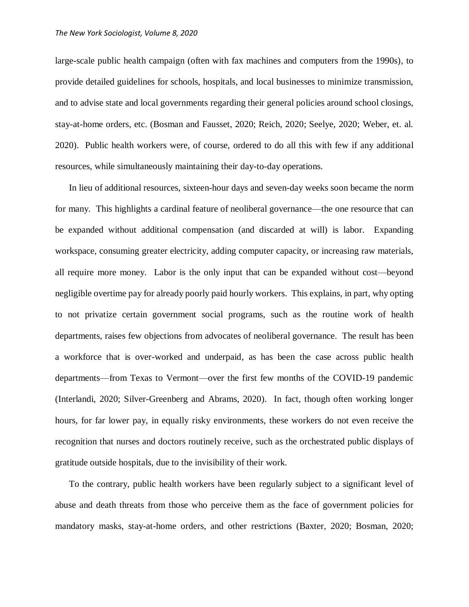large-scale public health campaign (often with fax machines and computers from the 1990s), to provide detailed guidelines for schools, hospitals, and local businesses to minimize transmission, and to advise state and local governments regarding their general policies around school closings, stay-at-home orders, etc. (Bosman and Fausset, 2020; Reich, 2020; Seelye, 2020; Weber, et. al. 2020). Public health workers were, of course, ordered to do all this with few if any additional resources, while simultaneously maintaining their day-to-day operations.

In lieu of additional resources, sixteen-hour days and seven-day weeks soon became the norm for many. This highlights a cardinal feature of neoliberal governance—the one resource that can be expanded without additional compensation (and discarded at will) is labor. Expanding workspace, consuming greater electricity, adding computer capacity, or increasing raw materials, all require more money. Labor is the only input that can be expanded without cost—beyond negligible overtime pay for already poorly paid hourly workers. This explains, in part, why opting to not privatize certain government social programs, such as the routine work of health departments, raises few objections from advocates of neoliberal governance. The result has been a workforce that is over-worked and underpaid, as has been the case across public health departments—from Texas to Vermont—over the first few months of the COVID-19 pandemic (Interlandi, 2020; Silver-Greenberg and Abrams, 2020). In fact, though often working longer hours, for far lower pay, in equally risky environments, these workers do not even receive the recognition that nurses and doctors routinely receive, such as the orchestrated public displays of gratitude outside hospitals, due to the invisibility of their work.

To the contrary, public health workers have been regularly subject to a significant level of abuse and death threats from those who perceive them as the face of government policies for mandatory masks, stay-at-home orders, and other restrictions (Baxter, 2020; Bosman, 2020;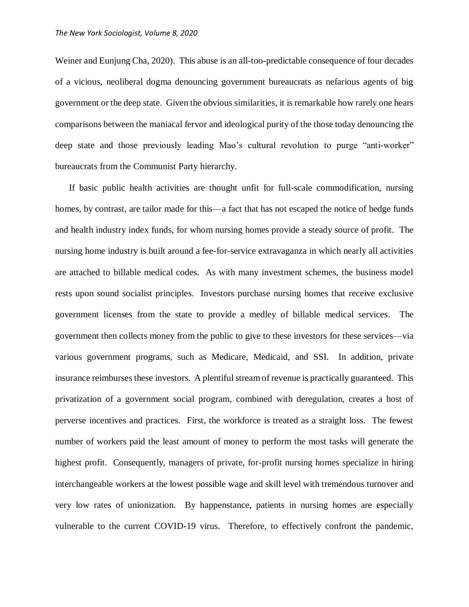Weiner and Eunjung Cha, 2020). This abuse is an all-too-predictable consequence of four decades of a vicious, neoliberal dogma denouncing government bureaucrats as nefarious agents of big government or the deep state. Given the obvious similarities, it is remarkable how rarely one hears comparisons between the maniacal fervor and ideological purity of the those today denouncing the deep state and those previously leading Mao's cultural revolution to purge "anti-worker" bureaucrats from the Communist Party hierarchy.

If basic public health activities are thought unfit for full-scale commodification, nursing homes, by contrast, are tailor made for this—a fact that has not escaped the notice of hedge funds and health industry index funds, for whom nursing homes provide a steady source of profit. The nursing home industry is built around a fee-for-service extravaganza in which nearly all activities are attached to billable medical codes. As with many investment schemes, the business model rests upon sound socialist principles. Investors purchase nursing homes that receive exclusive government licenses from the state to provide a medley of billable medical services. The government then collects money from the public to give to these investors for these services—via various government programs, such as Medicare, Medicaid, and SSI. In addition, private insurance reimburses these investors. A plentiful stream of revenue is practically guaranteed. This privatization of a government social program, combined with deregulation, creates a host of perverse incentives and practices. First, the workforce is treated as a straight loss. The fewest number of workers paid the least amount of money to perform the most tasks will generate the highest profit. Consequently, managers of private, for-profit nursing homes specialize in hiring interchangeable workers at the lowest possible wage and skill level with tremendous turnover and very low rates of unionization. By happenstance, patients in nursing homes are especially vulnerable to the current COVID-19 virus. Therefore, to effectively confront the pandemic,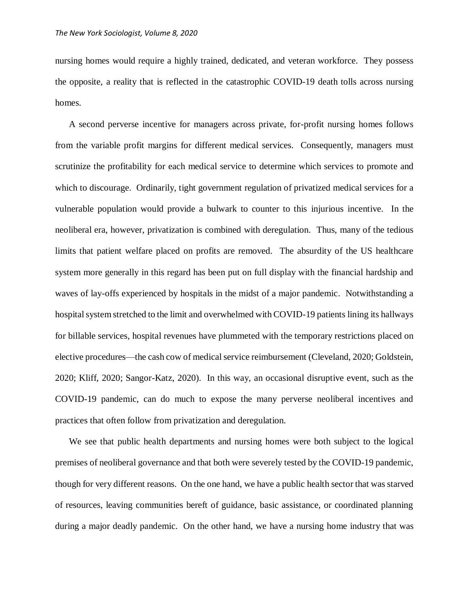nursing homes would require a highly trained, dedicated, and veteran workforce. They possess the opposite, a reality that is reflected in the catastrophic COVID-19 death tolls across nursing homes.

A second perverse incentive for managers across private, for-profit nursing homes follows from the variable profit margins for different medical services. Consequently, managers must scrutinize the profitability for each medical service to determine which services to promote and which to discourage. Ordinarily, tight government regulation of privatized medical services for a vulnerable population would provide a bulwark to counter to this injurious incentive. In the neoliberal era, however, privatization is combined with deregulation. Thus, many of the tedious limits that patient welfare placed on profits are removed. The absurdity of the US healthcare system more generally in this regard has been put on full display with the financial hardship and waves of lay-offs experienced by hospitals in the midst of a major pandemic. Notwithstanding a hospital system stretched to the limit and overwhelmed with COVID-19 patients lining its hallways for billable services, hospital revenues have plummeted with the temporary restrictions placed on elective procedures—the cash cow of medical service reimbursement (Cleveland, 2020; Goldstein, 2020; Kliff, 2020; Sangor-Katz, 2020). In this way, an occasional disruptive event, such as the COVID-19 pandemic, can do much to expose the many perverse neoliberal incentives and practices that often follow from privatization and deregulation.

We see that public health departments and nursing homes were both subject to the logical premises of neoliberal governance and that both were severely tested by the COVID-19 pandemic, though for very different reasons. On the one hand, we have a public health sector that was starved of resources, leaving communities bereft of guidance, basic assistance, or coordinated planning during a major deadly pandemic. On the other hand, we have a nursing home industry that was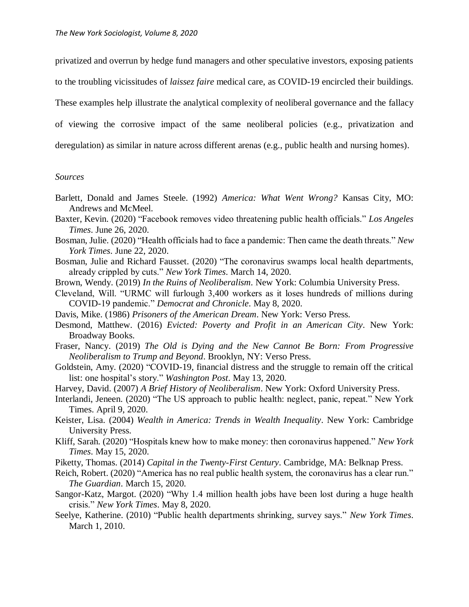privatized and overrun by hedge fund managers and other speculative investors, exposing patients to the troubling vicissitudes of *laissez faire* medical care, as COVID-19 encircled their buildings. These examples help illustrate the analytical complexity of neoliberal governance and the fallacy of viewing the corrosive impact of the same neoliberal policies (e.g., privatization and deregulation) as similar in nature across different arenas (e.g., public health and nursing homes).

## *Sources*

- Barlett, Donald and James Steele. (1992) *America: What Went Wrong?* Kansas City, MO: Andrews and McMeel.
- Baxter, Kevin. (2020) "Facebook removes video threatening public health officials." *Los Angeles Times*. June 26, 2020.
- Bosman, Julie. (2020) "Health officials had to face a pandemic: Then came the death threats." *New York Times*. June 22, 2020.
- Bosman, Julie and Richard Fausset. (2020) "The coronavirus swamps local health departments, already crippled by cuts." *New York Times*. March 14, 2020.
- Brown, Wendy. (2019) *In the Ruins of Neoliberalism*. New York: Columbia University Press.
- Cleveland, Will. "URMC will furlough 3,400 workers as it loses hundreds of millions during COVID-19 pandemic." *Democrat and Chronicle*. May 8, 2020.
- Davis, Mike. (1986) *Prisoners of the American Dream*. New York: Verso Press.
- Desmond, Matthew. (2016) *Evicted: Poverty and Profit in an American City*. New York: Broadway Books.
- Fraser, Nancy. (2019) *The Old is Dying and the New Cannot Be Born: From Progressive Neoliberalism to Trump and Beyond*. Brooklyn, NY: Verso Press.
- Goldstein, Amy. (2020) "COVID-19, financial distress and the struggle to remain off the critical list: one hospital's story." *Washington Post*. May 13, 2020.
- Harvey, David. (2007) *A Brief History of Neoliberalism*. New York: Oxford University Press.
- Interlandi, Jeneen. (2020) "The US approach to public health: neglect, panic, repeat." New York Times. April 9, 2020.
- Keister, Lisa. (2004) *Wealth in America: Trends in Wealth Inequality*. New York: Cambridge University Press.
- Kliff, Sarah. (2020) "Hospitals knew how to make money: then coronavirus happened." *New York Times*. May 15, 2020.
- Piketty, Thomas. (2014) *Capital in the Twenty-First Century*. Cambridge, MA: Belknap Press.
- Reich, Robert. (2020) "America has no real public health system, the coronavirus has a clear run." *The Guardian*. March 15, 2020.
- Sangor-Katz, Margot. (2020) "Why 1.4 million health jobs have been lost during a huge health crisis." *New York Times*. May 8, 2020.
- Seelye, Katherine. (2010) "Public health departments shrinking, survey says." *New York Times*. March 1, 2010.